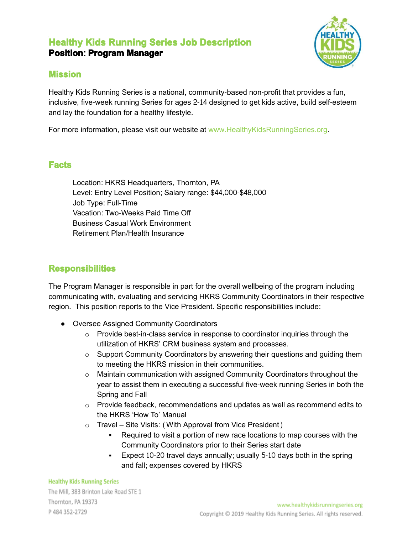# **Healthy Kids Running Series Job Description Position**: **Program Manager**



### **Mission**

Healthy Kids Running Series is a national, community-based non-profit that provides a fun, inclusive, five-week running Series for ages 2-14 designed to get kids active, build self-esteem and lay the foundation for a healthy lifestyle.

For more information, please visit our website at www.HealthyKidsRunningSeries.org.

## **Facts**

Location: HKRS Headquarters, Thornton, PA Level: Entry Level Position; Salary range: \$44,000-\$48,000 Job Type: Full-Time Vacation: Two-Weeks Paid Time Off Business Casual Work Environment Retirement Plan/Health Insurance

## **Responsibilities**

The Program Manager is responsible in part for the overall wellbeing of the program including communicating with, evaluating and servicing HKRS Community Coordinators in their respective region. This position reports to the Vice President. Specific responsibilities include:

- Oversee Assigned Community Coordinators
	- o Provide best-in-class service in response to coordinator inquiries through the utilization of HKRS' CRM business system and processes.
	- $\circ$  Support Community Coordinators by answering their questions and quiding them to meeting the HKRS mission in their communities.
	- o Maintain communication with assigned Community Coordinators throughout the year to assist them in executing a successful five-week running Series in both the Spring and Fall
	- $\circ$  Provide feedback, recommendations and updates as well as recommend edits to the HKRS 'How To' Manual
	- o Travel Site Visits: (With Approval from Vice President)
		- Required to visit a portion of new race locations to map courses with the Community Coordinators prior to their Series start date
		- **Expect 10-20 travel days annually; usually 5-10 days both in the spring** and fall; expenses covered by HKRS

#### **Healthy Kids Running Series**

The Mill, 383 Brinton Lake Road STE 1 Thornton, PA 19373 P 484 352-2729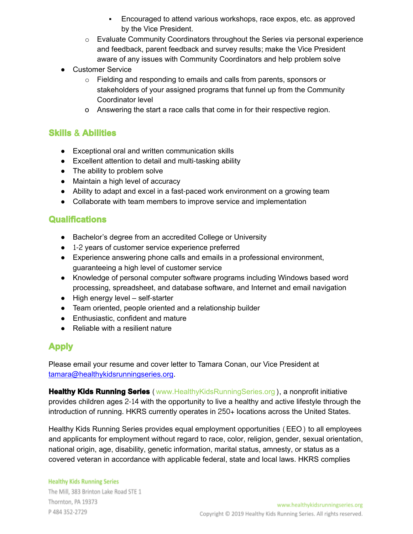- Encouraged to attend various workshops, race expos, etc. as approved by the Vice President.
- $\circ$  Evaluate Community Coordinators throughout the Series via personal experience and feedback, parent feedback and survey results; make the Vice President aware of any issues with Community Coordinators and help problem solve
- Customer Service
	- o Fielding and responding to emails and calls from parents, sponsors or stakeholders of your assigned programs that funnel up from the Community Coordinator level
	- o Answering the start a race calls that come in for their respective region.

## **Skills** & **Abilities**

- Exceptional oral and written communication skills
- Excellent attention to detail and multi-tasking ability
- The ability to problem solve
- Maintain a high level of accuracy
- Ability to adapt and excel in a fast-paced work environment on a growing team
- Collaborate with team members to improve service and implementation

## **Qualifications**

- Bachelor's degree from an accredited College or University
- 1-2 years of customer service experience preferred
- Experience answering phone calls and emails in a professional environment, guaranteeing a high level of customer service
- Knowledge of personal computer software programs including Windows based word processing, spreadsheet, and database software, and Internet and email navigation
- High energy level self-starter
- Team oriented, people oriented and a relationship builder
- Enthusiastic, confident and mature
- Reliable with a resilient nature

# **Apply**

Please email your resume and cover letter to Tamara Conan, our Vice President at tamara@[healthykidsrunningseries](mailto:tamara@healthykidsrunningseries.org).org.

**Healthy Kids Running Series** (www.HealthyKidsRunningSeries.org), a nonprofit initiative provides children ages 2-14 with the opportunity to live a healthy and active lifestyle through the introduction of running. HKRS currently operates in 250+ locations across the United States.

Healthy Kids Running Series provides equal employment opportunities (EEO) to all employees and applicants for employment without regard to race, color, religion, gender, sexual orientation, national origin, age, disability, genetic information, marital status, amnesty, or status as a covered veteran in accordance with applicable federal, state and local laws. HKRS complies

#### **Healthy Kids Running Series** The Mill, 383 Brinton Lake Road STE 1 Thornton, PA 19373 P 484 352-2729